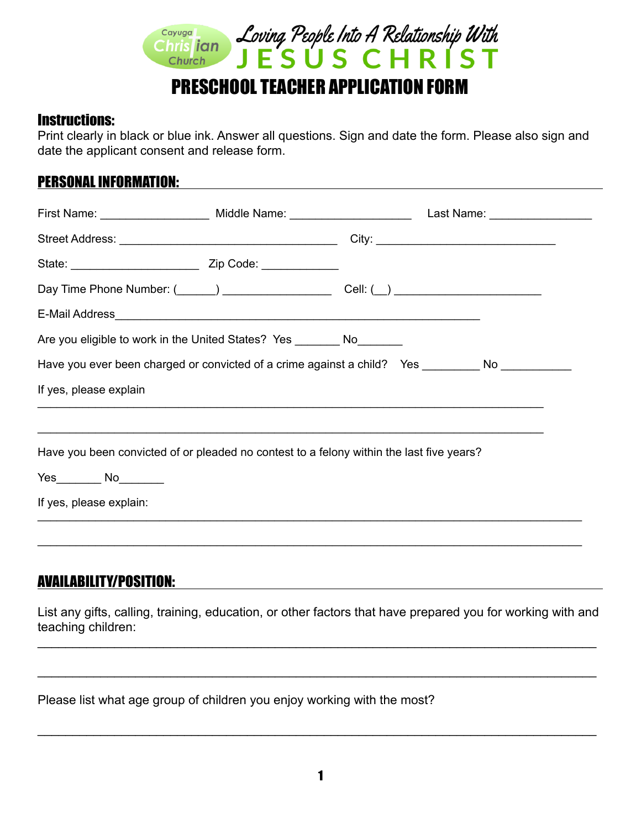

# PRESCHOOL TEACHER APPLICATION FORM

#### Instructions:

Print clearly in black or blue ink. Answer all questions. Sign and date the form. Please also sign and date the applicant consent and release form.

## PERSONAL INFORMATION:

|                                                                                                                                                   | First Name: ______________________ Middle Name: ________________________________ Last Name: __________________ |  |
|---------------------------------------------------------------------------------------------------------------------------------------------------|----------------------------------------------------------------------------------------------------------------|--|
|                                                                                                                                                   |                                                                                                                |  |
|                                                                                                                                                   |                                                                                                                |  |
|                                                                                                                                                   |                                                                                                                |  |
|                                                                                                                                                   |                                                                                                                |  |
| Are you eligible to work in the United States? Yes ________ No________                                                                            |                                                                                                                |  |
| Have you ever been charged or convicted of a crime against a child? Yes ________ No _________                                                     |                                                                                                                |  |
| If yes, please explain                                                                                                                            |                                                                                                                |  |
|                                                                                                                                                   |                                                                                                                |  |
| Have you been convicted of or pleaded no contest to a felony within the last five years?<br>Yes___________ No_________<br>If yes, please explain: |                                                                                                                |  |
|                                                                                                                                                   |                                                                                                                |  |
|                                                                                                                                                   |                                                                                                                |  |

# AVAILABILITY/POSITION:

List any gifts, calling, training, education, or other factors that have prepared you for working with and teaching children:

\_\_\_\_\_\_\_\_\_\_\_\_\_\_\_\_\_\_\_\_\_\_\_\_\_\_\_\_\_\_\_\_\_\_\_\_\_\_\_\_\_\_\_\_\_\_\_\_\_\_\_\_\_\_\_\_\_\_\_\_\_\_\_\_\_\_\_\_\_\_\_\_\_\_\_\_\_\_\_\_

\_\_\_\_\_\_\_\_\_\_\_\_\_\_\_\_\_\_\_\_\_\_\_\_\_\_\_\_\_\_\_\_\_\_\_\_\_\_\_\_\_\_\_\_\_\_\_\_\_\_\_\_\_\_\_\_\_\_\_\_\_\_\_\_\_\_\_\_\_\_\_\_\_\_\_\_\_\_\_\_

Please list what age group of children you enjoy working with the most?

\_\_\_\_\_\_\_\_\_\_\_\_\_\_\_\_\_\_\_\_\_\_\_\_\_\_\_\_\_\_\_\_\_\_\_\_\_\_\_\_\_\_\_\_\_\_\_\_\_\_\_\_\_\_\_\_\_\_\_\_\_\_\_\_\_\_\_\_\_\_\_\_\_\_\_\_\_\_\_\_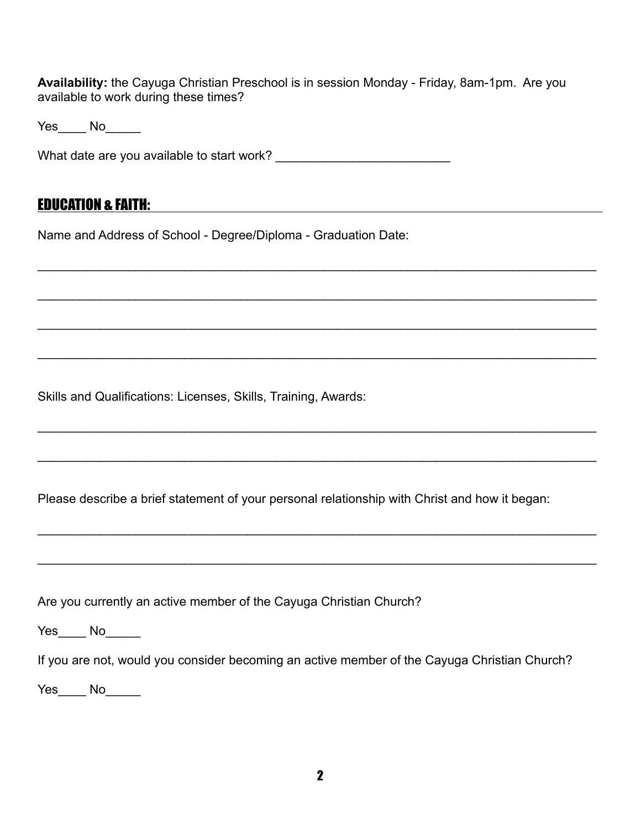**Availability:** the Cayuga Christian Preschool is in session Monday - Friday, 8am-1pm. Are you available to work during these times?

\_\_\_\_\_\_\_\_\_\_\_\_\_\_\_\_\_\_\_\_\_\_\_\_\_\_\_\_\_\_\_\_\_\_\_\_\_\_\_\_\_\_\_\_\_\_\_\_\_\_\_\_\_\_\_\_\_\_\_\_\_\_\_\_\_\_\_\_\_\_\_\_\_\_\_\_\_\_\_\_

\_\_\_\_\_\_\_\_\_\_\_\_\_\_\_\_\_\_\_\_\_\_\_\_\_\_\_\_\_\_\_\_\_\_\_\_\_\_\_\_\_\_\_\_\_\_\_\_\_\_\_\_\_\_\_\_\_\_\_\_\_\_\_\_\_\_\_\_\_\_\_\_\_\_\_\_\_\_\_\_

 $\_$ 

\_\_\_\_\_\_\_\_\_\_\_\_\_\_\_\_\_\_\_\_\_\_\_\_\_\_\_\_\_\_\_\_\_\_\_\_\_\_\_\_\_\_\_\_\_\_\_\_\_\_\_\_\_\_\_\_\_\_\_\_\_\_\_\_\_\_\_\_\_\_\_\_\_\_\_\_\_\_\_\_

\_\_\_\_\_\_\_\_\_\_\_\_\_\_\_\_\_\_\_\_\_\_\_\_\_\_\_\_\_\_\_\_\_\_\_\_\_\_\_\_\_\_\_\_\_\_\_\_\_\_\_\_\_\_\_\_\_\_\_\_\_\_\_\_\_\_\_\_\_\_\_\_\_\_\_\_\_\_\_\_

 $\_$ 

\_\_\_\_\_\_\_\_\_\_\_\_\_\_\_\_\_\_\_\_\_\_\_\_\_\_\_\_\_\_\_\_\_\_\_\_\_\_\_\_\_\_\_\_\_\_\_\_\_\_\_\_\_\_\_\_\_\_\_\_\_\_\_\_\_\_\_\_\_\_\_\_\_\_\_\_\_\_\_\_

\_\_\_\_\_\_\_\_\_\_\_\_\_\_\_\_\_\_\_\_\_\_\_\_\_\_\_\_\_\_\_\_\_\_\_\_\_\_\_\_\_\_\_\_\_\_\_\_\_\_\_\_\_\_\_\_\_\_\_\_\_\_\_\_\_\_\_\_\_\_\_\_\_\_\_\_\_\_\_\_

Yes\_\_\_\_ No\_\_\_\_\_

What date are you available to start work? \_\_\_\_\_\_\_\_\_\_\_\_\_\_\_\_\_\_\_\_\_\_\_\_\_

### EDUCATION & FAITH:

Name and Address of School - Degree/Diploma - Graduation Date:

Skills and Qualifications: Licenses, Skills, Training, Awards:

Please describe a brief statement of your personal relationship with Christ and how it began:

Are you currently an active member of the Cayuga Christian Church?

Yes\_\_\_\_ No

If you are not, would you consider becoming an active member of the Cayuga Christian Church?

Yes\_\_\_\_ No\_\_\_\_\_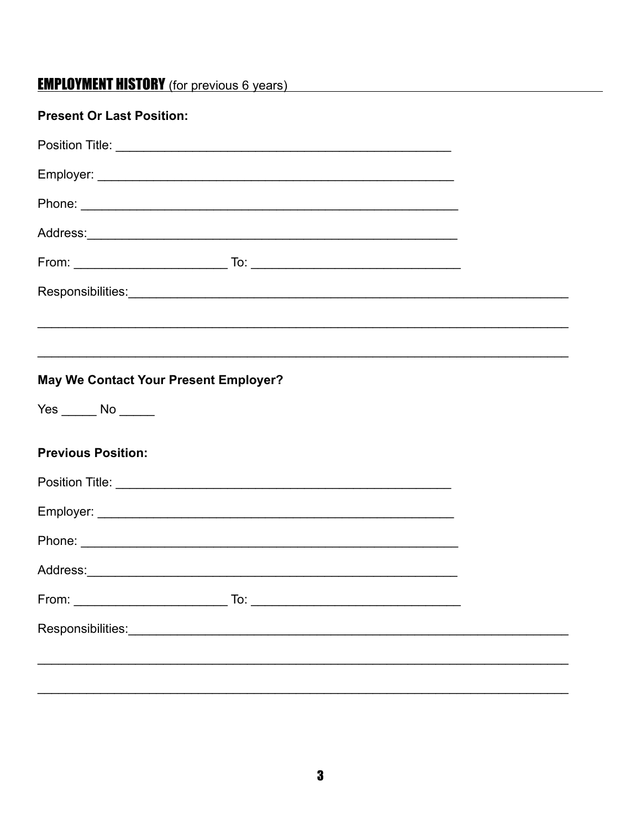# **EMPLOYMENT HISTORY** (for previous 6 years)

| <b>Present Or Last Position:</b>                                                 |  |
|----------------------------------------------------------------------------------|--|
|                                                                                  |  |
|                                                                                  |  |
|                                                                                  |  |
|                                                                                  |  |
|                                                                                  |  |
|                                                                                  |  |
| ,我们也不会有什么。""我们的人,我们也不会有什么?""我们的人,我们也不会有什么?""我们的人,我们也不会有什么?""我们的人,我们也不会有什么?""我们的人 |  |
|                                                                                  |  |
| May We Contact Your Present Employer?                                            |  |
| $Yes$ No $\rule{1em}{0.15mm}$ No $\rule{1em}{0.15mm}$                            |  |
| <b>Previous Position:</b>                                                        |  |
|                                                                                  |  |
|                                                                                  |  |
|                                                                                  |  |
|                                                                                  |  |
|                                                                                  |  |
|                                                                                  |  |
|                                                                                  |  |
|                                                                                  |  |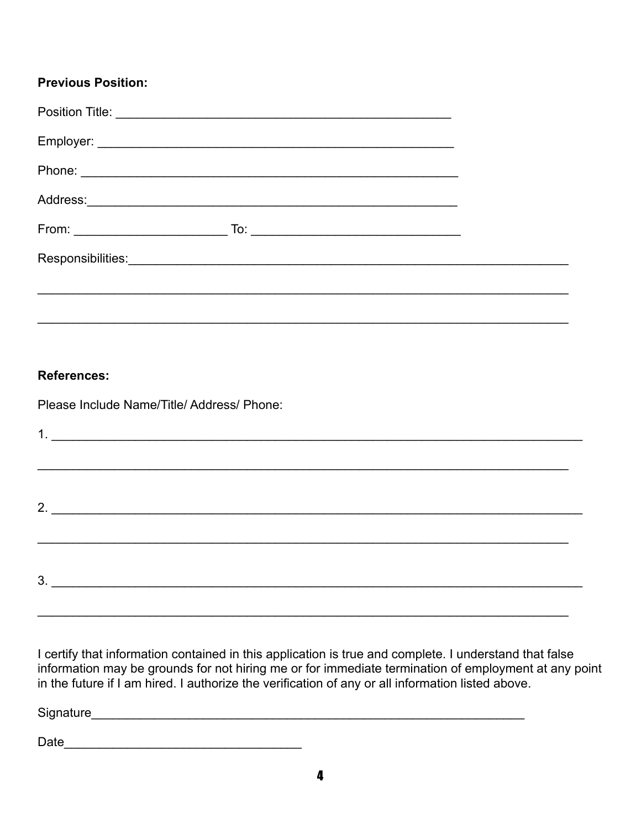### **Previous Position:**

| From: $\overline{\qquad \qquad }$ |  |
|-----------------------------------|--|
|                                   |  |
|                                   |  |
|                                   |  |

### References:

Please Include Name/Title/Address/Phone:

| $1.$ $\frac{1}{2}$ $\frac{1}{2}$ $\frac{1}{2}$ $\frac{1}{2}$ $\frac{1}{2}$ $\frac{1}{2}$ $\frac{1}{2}$ $\frac{1}{2}$ $\frac{1}{2}$ $\frac{1}{2}$ $\frac{1}{2}$ $\frac{1}{2}$ $\frac{1}{2}$ $\frac{1}{2}$ $\frac{1}{2}$ $\frac{1}{2}$ $\frac{1}{2}$ $\frac{1}{2}$ $\frac{1}{2}$ $\frac{1}{2}$ $\frac{1}{2}$ $\frac{1}{$ |  |  |
|------------------------------------------------------------------------------------------------------------------------------------------------------------------------------------------------------------------------------------------------------------------------------------------------------------------------|--|--|
|                                                                                                                                                                                                                                                                                                                        |  |  |
|                                                                                                                                                                                                                                                                                                                        |  |  |
|                                                                                                                                                                                                                                                                                                                        |  |  |
|                                                                                                                                                                                                                                                                                                                        |  |  |
|                                                                                                                                                                                                                                                                                                                        |  |  |
|                                                                                                                                                                                                                                                                                                                        |  |  |

I certify that information contained in this application is true and complete. I understand that false information may be grounds for not hiring me or for immediate termination of employment at any point in the future if I am hired. I authorize the verification of any or all information listed above.

Signature experience and the state of the state of the state of the state of the state of the state of the state of the state of the state of the state of the state of the state of the state of the state of the state of th